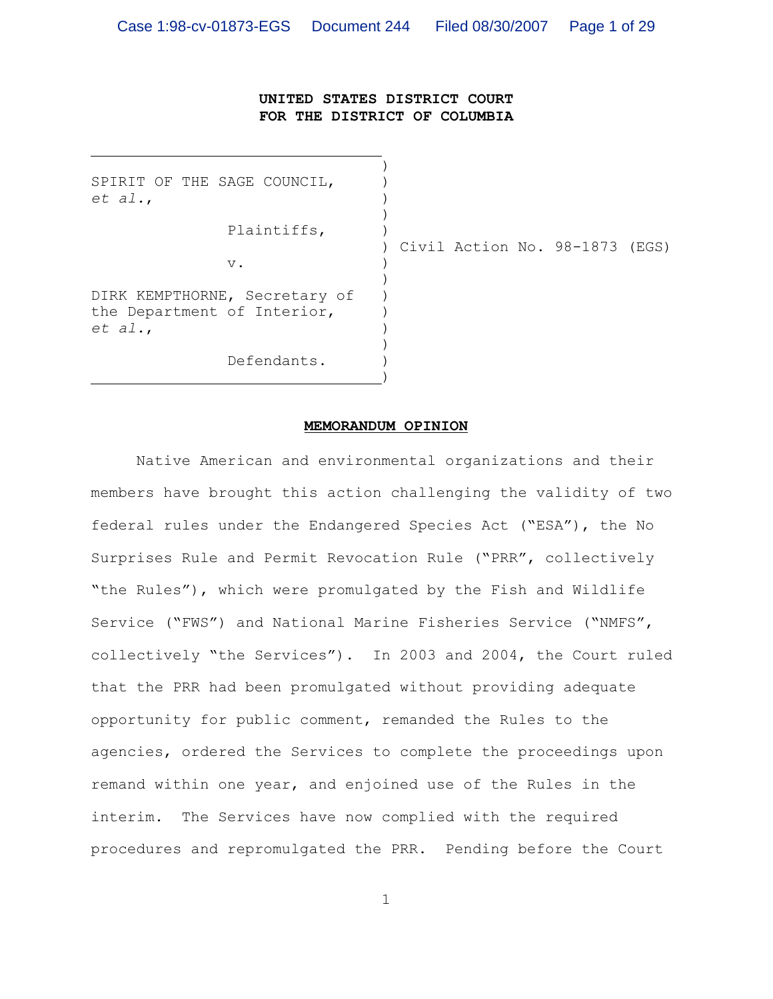# **UNITED STATES DISTRICT COURT FOR THE DISTRICT OF COLUMBIA**

)

 $)$ 

SPIRIT OF THE SAGE COUNCIL, *et al.*, )

Plaintiffs, )

 $\nabla$ .

) Civil Action No. 98-1873 (EGS)

 $)$ DIRK KEMPTHORNE, Secretary of ) the Department of Interior,  $)$ *et al.*, )

 $\hspace{1.5cm}$ ) and  $\hspace{1.5cm}$  and  $\hspace{1.5cm}$  and  $\hspace{1.5cm}$ 

Defendants.

#### **MEMORANDUM OPINION**

)

Native American and environmental organizations and their members have brought this action challenging the validity of two federal rules under the Endangered Species Act ("ESA"), the No Surprises Rule and Permit Revocation Rule ("PRR", collectively "the Rules"), which were promulgated by the Fish and Wildlife Service ("FWS") and National Marine Fisheries Service ("NMFS", collectively "the Services"). In 2003 and 2004, the Court ruled that the PRR had been promulgated without providing adequate opportunity for public comment, remanded the Rules to the agencies, ordered the Services to complete the proceedings upon remand within one year, and enjoined use of the Rules in the interim. The Services have now complied with the required procedures and repromulgated the PRR. Pending before the Court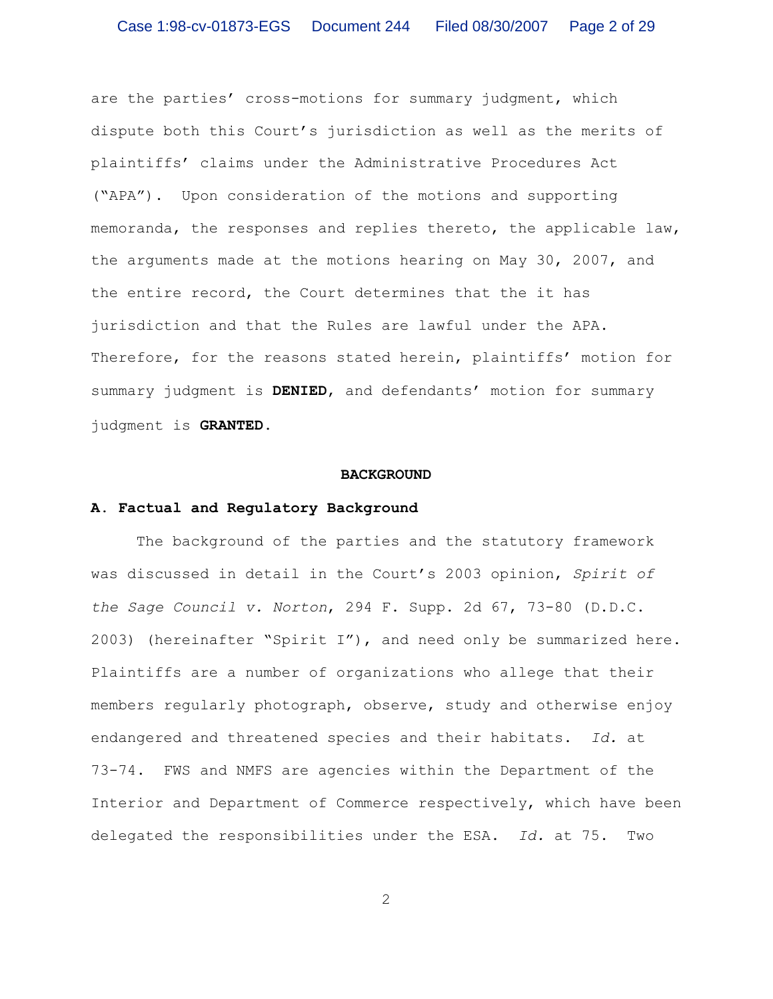are the parties' cross-motions for summary judgment, which dispute both this Court's jurisdiction as well as the merits of plaintiffs' claims under the Administrative Procedures Act ("APA"). Upon consideration of the motions and supporting memoranda, the responses and replies thereto, the applicable law, the arguments made at the motions hearing on May 30, 2007, and the entire record, the Court determines that the it has jurisdiction and that the Rules are lawful under the APA. Therefore, for the reasons stated herein, plaintiffs' motion for summary judgment is **DENIED**, and defendants' motion for summary judgment is **GRANTED**.

### **BACKGROUND**

#### **A. Factual and Regulatory Background**

The background of the parties and the statutory framework was discussed in detail in the Court's 2003 opinion, *Spirit of the Sage Council v. Norton*, 294 F. Supp. 2d 67, 73-80 (D.D.C. 2003) (hereinafter "Spirit I"), and need only be summarized here. Plaintiffs are a number of organizations who allege that their members regularly photograph, observe, study and otherwise enjoy endangered and threatened species and their habitats. *Id.* at 73-74. FWS and NMFS are agencies within the Department of the Interior and Department of Commerce respectively, which have been delegated the responsibilities under the ESA. *Id.* at 75. Two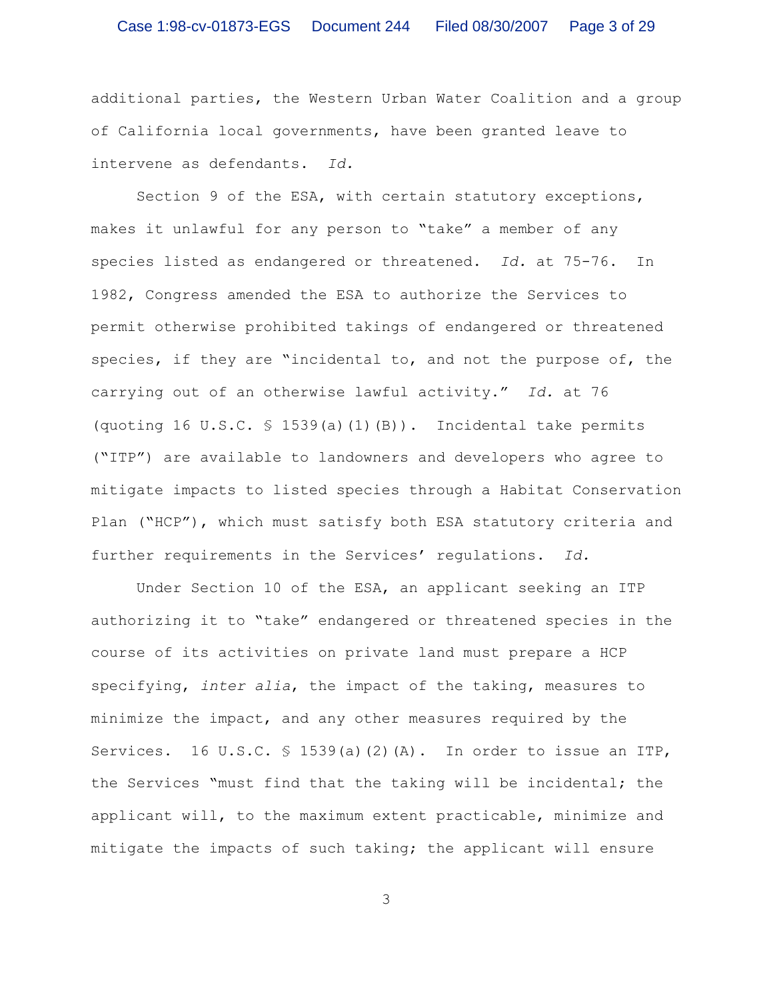# Case 1:98-cv-01873-EGS Document 244 Filed 08/30/2007 Page 3 of 29

additional parties, the Western Urban Water Coalition and a group of California local governments, have been granted leave to intervene as defendants. *Id.*

Section 9 of the ESA, with certain statutory exceptions, makes it unlawful for any person to "take" a member of any species listed as endangered or threatened. *Id.* at 75-76. In 1982, Congress amended the ESA to authorize the Services to permit otherwise prohibited takings of endangered or threatened species, if they are "incidental to, and not the purpose of, the carrying out of an otherwise lawful activity." *Id.* at 76 (quoting 16 U.S.C.  $\frac{1}{5}$  1539(a)(1)(B)). Incidental take permits ("ITP") are available to landowners and developers who agree to mitigate impacts to listed species through a Habitat Conservation Plan ("HCP"), which must satisfy both ESA statutory criteria and further requirements in the Services' regulations. *Id.*

Under Section 10 of the ESA, an applicant seeking an ITP authorizing it to "take" endangered or threatened species in the course of its activities on private land must prepare a HCP specifying, *inter alia*, the impact of the taking, measures to minimize the impact, and any other measures required by the Services. 16 U.S.C.  $\frac{1}{5}$  1539(a)(2)(A). In order to issue an ITP, the Services "must find that the taking will be incidental; the applicant will, to the maximum extent practicable, minimize and mitigate the impacts of such taking; the applicant will ensure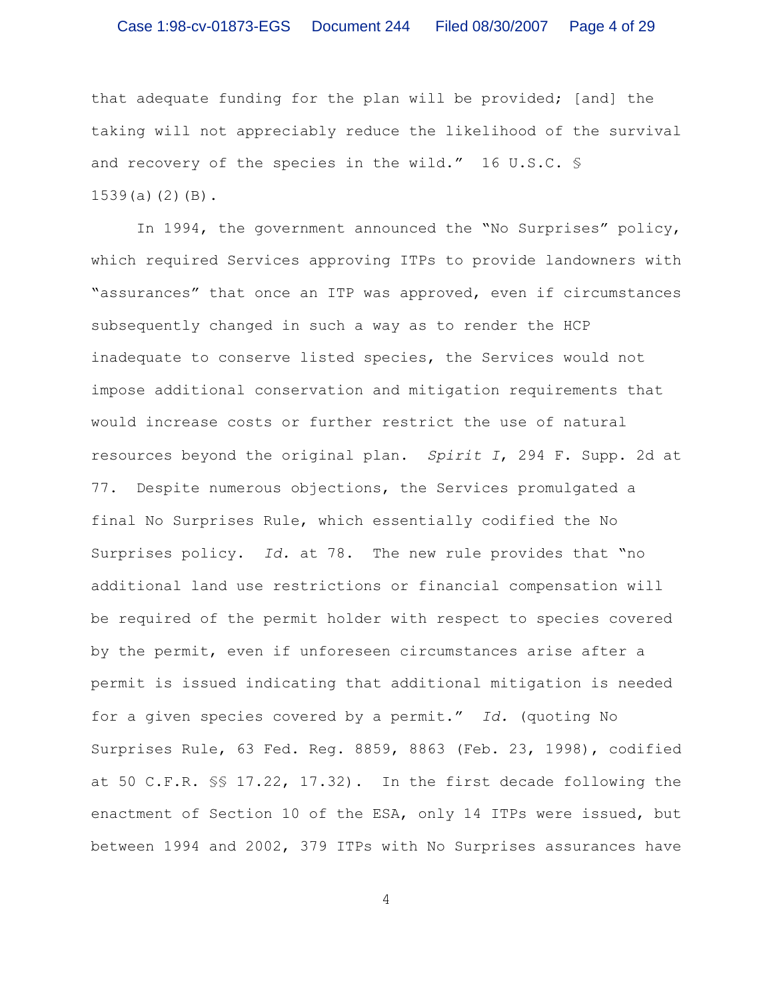that adequate funding for the plan will be provided; [and] the taking will not appreciably reduce the likelihood of the survival and recovery of the species in the wild." 16 U.S.C. § 1539(a)(2)(B).

In 1994, the government announced the "No Surprises" policy, which required Services approving ITPs to provide landowners with "assurances" that once an ITP was approved, even if circumstances subsequently changed in such a way as to render the HCP inadequate to conserve listed species, the Services would not impose additional conservation and mitigation requirements that would increase costs or further restrict the use of natural resources beyond the original plan. *Spirit I*, 294 F. Supp. 2d at 77. Despite numerous objections, the Services promulgated a final No Surprises Rule, which essentially codified the No Surprises policy. *Id.* at 78. The new rule provides that "no additional land use restrictions or financial compensation will be required of the permit holder with respect to species covered by the permit, even if unforeseen circumstances arise after a permit is issued indicating that additional mitigation is needed for a given species covered by a permit." *Id.* (quoting No Surprises Rule, 63 Fed. Reg. 8859, 8863 (Feb. 23, 1998), codified at 50 C.F.R. §§ 17.22, 17.32). In the first decade following the enactment of Section 10 of the ESA, only 14 ITPs were issued, but between 1994 and 2002, 379 ITPs with No Surprises assurances have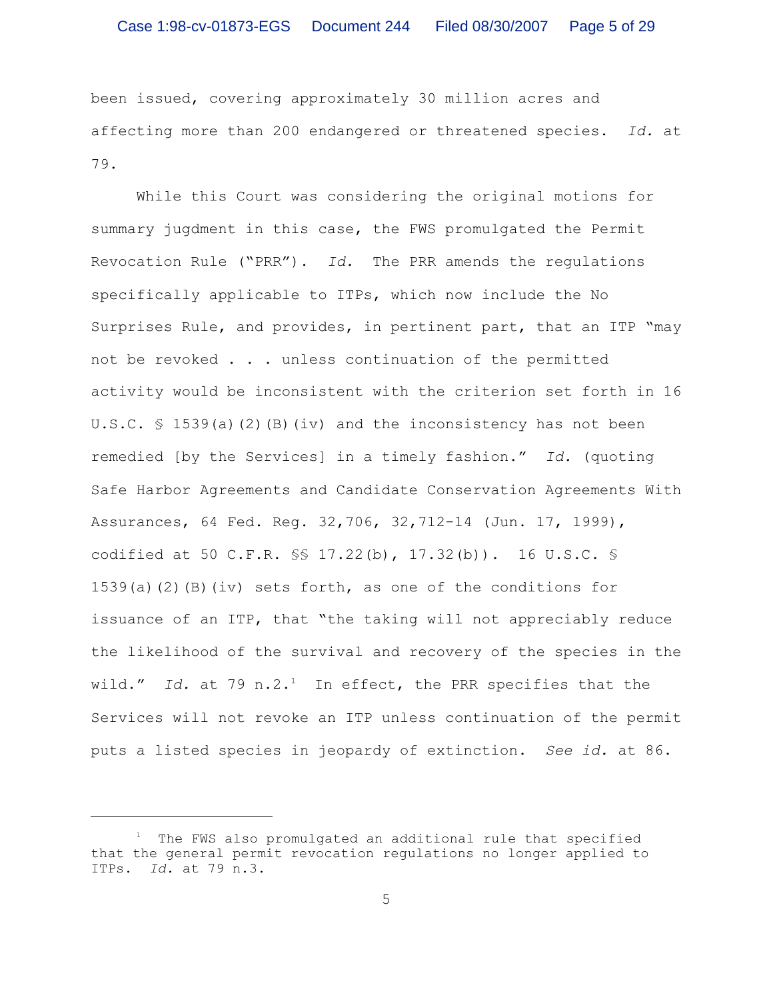been issued, covering approximately 30 million acres and affecting more than 200 endangered or threatened species. *Id.* at 79.

While this Court was considering the original motions for summary jugdment in this case, the FWS promulgated the Permit Revocation Rule ("PRR"). *Id.* The PRR amends the regulations specifically applicable to ITPs, which now include the No Surprises Rule, and provides, in pertinent part, that an ITP "may not be revoked . . . unless continuation of the permitted activity would be inconsistent with the criterion set forth in 16 U.S.C. § 1539(a)(2)(B)(iv) and the inconsistency has not been remedied [by the Services] in a timely fashion." *Id.* (quoting Safe Harbor Agreements and Candidate Conservation Agreements With Assurances, 64 Fed. Reg. 32,706, 32,712-14 (Jun. 17, 1999), codified at 50 C.F.R. §§ 17.22(b), 17.32(b)). 16 U.S.C. § 1539(a)(2)(B)(iv) sets forth, as one of the conditions for issuance of an ITP, that "the taking will not appreciably reduce the likelihood of the survival and recovery of the species in the wild." *Id.* at 79 n.2.<sup>1</sup> In effect, the PRR specifies that the Services will not revoke an ITP unless continuation of the permit puts a listed species in jeopardy of extinction. *See id.* at 86.

 $1$  The FWS also promulgated an additional rule that specified that the general permit revocation regulations no longer applied to ITPs. *Id.* at 79 n.3.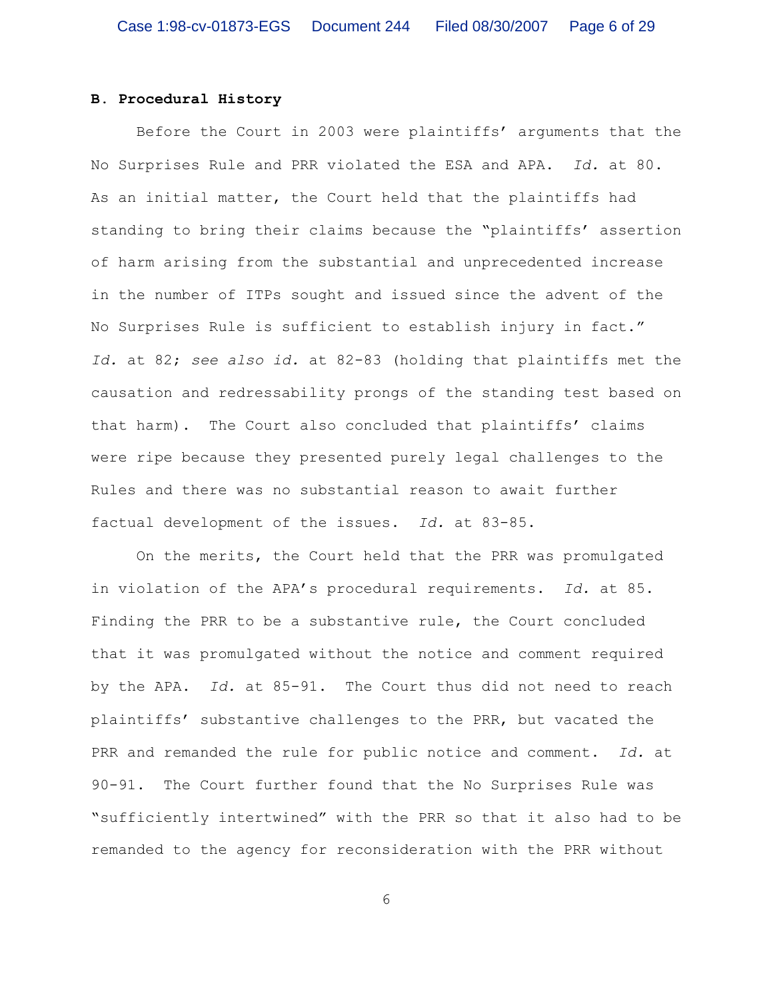## **B. Procedural History**

Before the Court in 2003 were plaintiffs' arguments that the No Surprises Rule and PRR violated the ESA and APA. *Id.* at 80. As an initial matter, the Court held that the plaintiffs had standing to bring their claims because the "plaintiffs' assertion of harm arising from the substantial and unprecedented increase in the number of ITPs sought and issued since the advent of the No Surprises Rule is sufficient to establish injury in fact." *Id.* at 82; *see also id.* at 82-83 (holding that plaintiffs met the causation and redressability prongs of the standing test based on that harm). The Court also concluded that plaintiffs' claims were ripe because they presented purely legal challenges to the Rules and there was no substantial reason to await further factual development of the issues. *Id.* at 83-85.

On the merits, the Court held that the PRR was promulgated in violation of the APA's procedural requirements. *Id.* at 85. Finding the PRR to be a substantive rule, the Court concluded that it was promulgated without the notice and comment required by the APA. *Id.* at 85-91. The Court thus did not need to reach plaintiffs' substantive challenges to the PRR, but vacated the PRR and remanded the rule for public notice and comment. *Id.* at 90-91. The Court further found that the No Surprises Rule was "sufficiently intertwined" with the PRR so that it also had to be remanded to the agency for reconsideration with the PRR without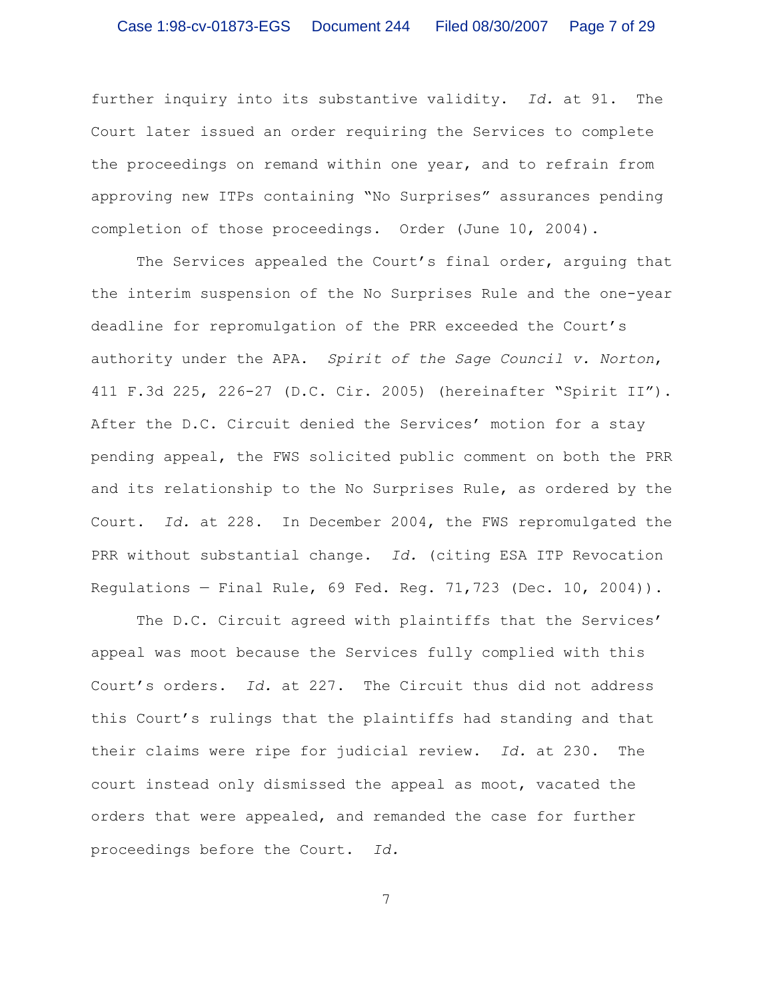further inquiry into its substantive validity. *Id.* at 91. The Court later issued an order requiring the Services to complete the proceedings on remand within one year, and to refrain from approving new ITPs containing "No Surprises" assurances pending completion of those proceedings. Order (June 10, 2004).

The Services appealed the Court's final order, arguing that the interim suspension of the No Surprises Rule and the one-year deadline for repromulgation of the PRR exceeded the Court's authority under the APA. *Spirit of the Sage Council v. Norton*, 411 F.3d 225, 226-27 (D.C. Cir. 2005) (hereinafter "Spirit II"). After the D.C. Circuit denied the Services' motion for a stay pending appeal, the FWS solicited public comment on both the PRR and its relationship to the No Surprises Rule, as ordered by the Court. *Id.* at 228. In December 2004, the FWS repromulgated the PRR without substantial change. *Id.* (citing ESA ITP Revocation Regulations — Final Rule, 69 Fed. Reg. 71,723 (Dec. 10, 2004)).

The D.C. Circuit agreed with plaintiffs that the Services' appeal was moot because the Services fully complied with this Court's orders. *Id.* at 227. The Circuit thus did not address this Court's rulings that the plaintiffs had standing and that their claims were ripe for judicial review. *Id.* at 230. The court instead only dismissed the appeal as moot, vacated the orders that were appealed, and remanded the case for further proceedings before the Court. *Id.*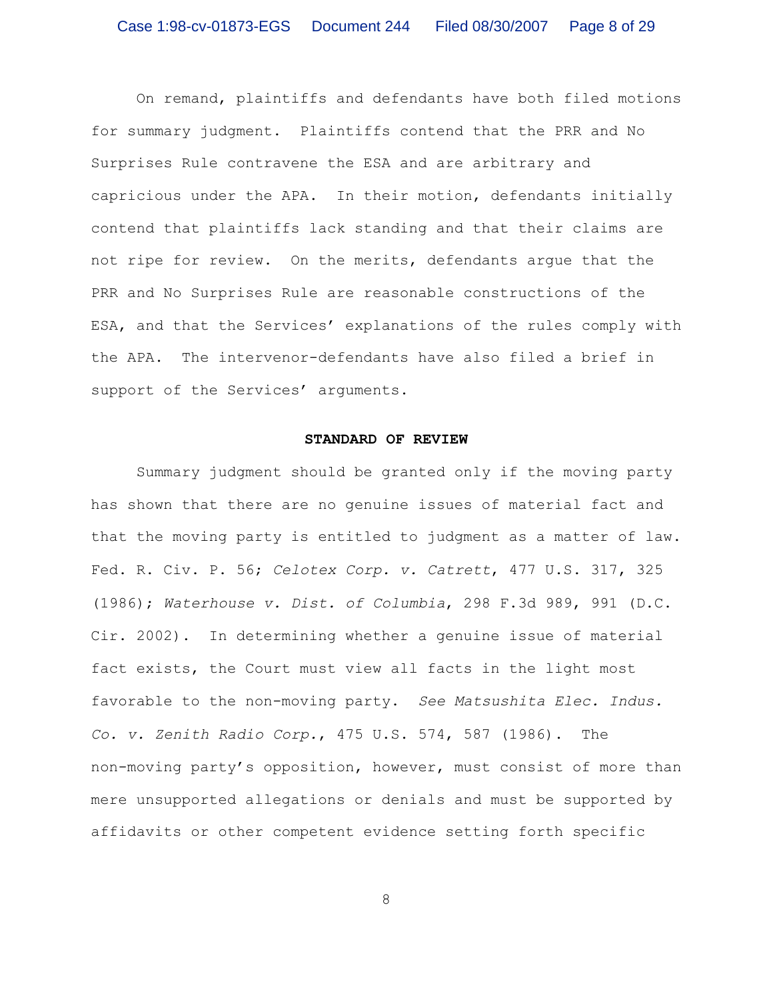On remand, plaintiffs and defendants have both filed motions for summary judgment. Plaintiffs contend that the PRR and No Surprises Rule contravene the ESA and are arbitrary and capricious under the APA. In their motion, defendants initially contend that plaintiffs lack standing and that their claims are not ripe for review. On the merits, defendants argue that the PRR and No Surprises Rule are reasonable constructions of the ESA, and that the Services' explanations of the rules comply with the APA. The intervenor-defendants have also filed a brief in support of the Services' arguments.

### **STANDARD OF REVIEW**

Summary judgment should be granted only if the moving party has shown that there are no genuine issues of material fact and that the moving party is entitled to judgment as a matter of law. Fed. R. Civ. P. 56; *Celotex Corp. v. Catrett*, 477 U.S. 317, 325 (1986); *Waterhouse v. Dist. of Columbia*, 298 F.3d 989, 991 (D.C. Cir. 2002). In determining whether a genuine issue of material fact exists, the Court must view all facts in the light most favorable to the non-moving party. *See Matsushita Elec. Indus. Co. v. Zenith Radio Corp.*, 475 U.S. 574, 587 (1986). The non-moving party's opposition, however, must consist of more than mere unsupported allegations or denials and must be supported by affidavits or other competent evidence setting forth specific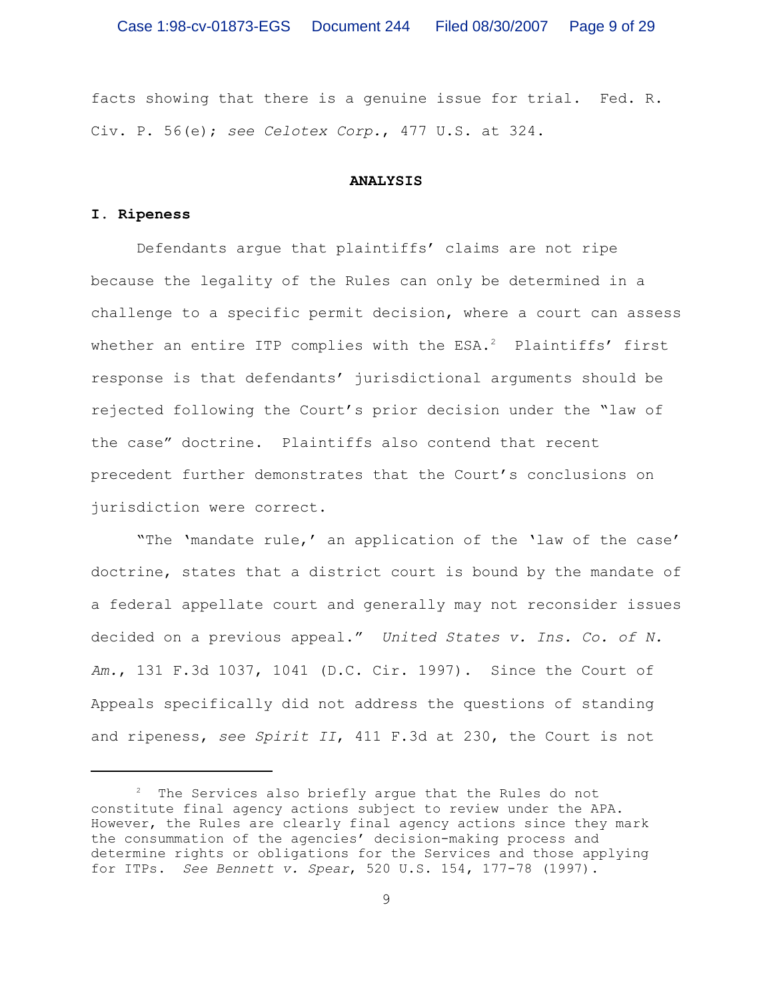facts showing that there is a genuine issue for trial. Fed. R. Civ. P. 56(e); *see Celotex Corp.*, 477 U.S. at 324.

### **ANALYSIS**

### **I. Ripeness**

Defendants argue that plaintiffs' claims are not ripe because the legality of the Rules can only be determined in a challenge to a specific permit decision, where a court can assess whether an entire ITP complies with the  $ESA.^2$  Plaintiffs' first response is that defendants' jurisdictional arguments should be rejected following the Court's prior decision under the "law of the case" doctrine. Plaintiffs also contend that recent precedent further demonstrates that the Court's conclusions on jurisdiction were correct.

"The 'mandate rule,' an application of the 'law of the case' doctrine, states that a district court is bound by the mandate of a federal appellate court and generally may not reconsider issues decided on a previous appeal." *United States v. Ins. Co. of N. Am.*, 131 F.3d 1037, 1041 (D.C. Cir. 1997). Since the Court of Appeals specifically did not address the questions of standing and ripeness, *see Spirit II*, 411 F.3d at 230, the Court is not

 $2$  The Services also briefly argue that the Rules do not constitute final agency actions subject to review under the APA. However, the Rules are clearly final agency actions since they mark the consummation of the agencies' decision-making process and determine rights or obligations for the Services and those applying for ITPs. *See Bennett v. Spear*, 520 U.S. 154, 177-78 (1997).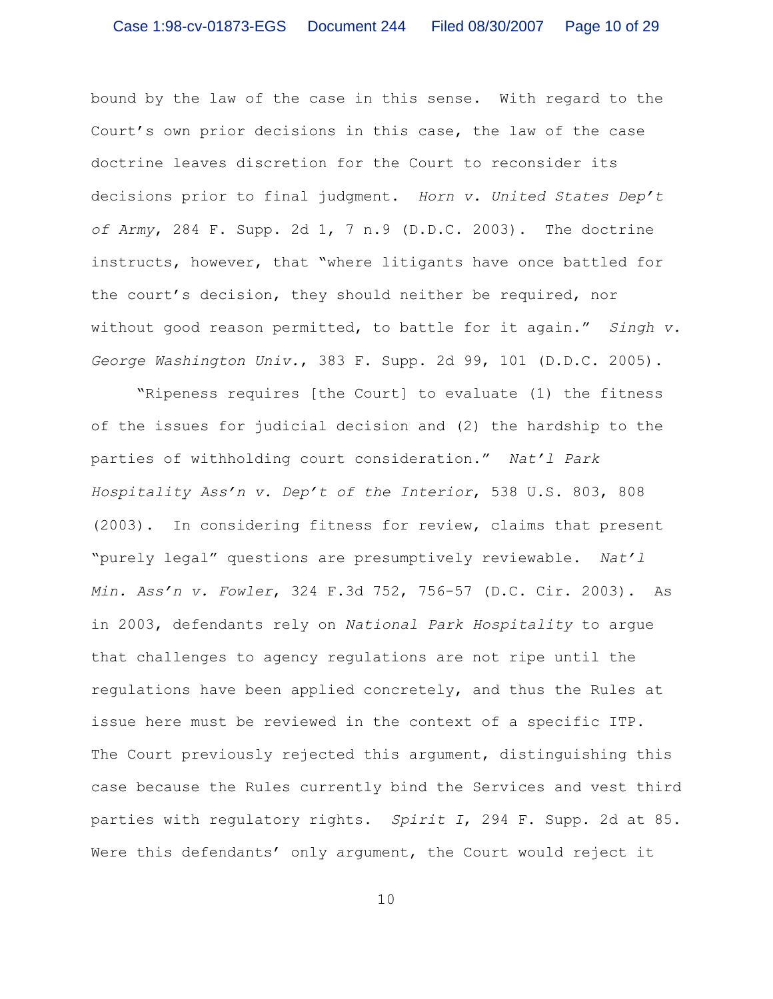bound by the law of the case in this sense. With regard to the Court's own prior decisions in this case, the law of the case doctrine leaves discretion for the Court to reconsider its decisions prior to final judgment. *Horn v. United States Dep't of Army*, 284 F. Supp. 2d 1, 7 n.9 (D.D.C. 2003). The doctrine instructs, however, that "where litigants have once battled for the court's decision, they should neither be required, nor without good reason permitted, to battle for it again." *Singh v. George Washington Univ.*, 383 F. Supp. 2d 99, 101 (D.D.C. 2005).

"Ripeness requires [the Court] to evaluate (1) the fitness of the issues for judicial decision and (2) the hardship to the parties of withholding court consideration." *Nat'l Park Hospitality Ass'n v. Dep't of the Interior*, 538 U.S. 803, 808 (2003). In considering fitness for review, claims that present "purely legal" questions are presumptively reviewable. *Nat'l Min. Ass'n v. Fowler*, 324 F.3d 752, 756-57 (D.C. Cir. 2003). As in 2003, defendants rely on *National Park Hospitality* to argue that challenges to agency regulations are not ripe until the regulations have been applied concretely, and thus the Rules at issue here must be reviewed in the context of a specific ITP. The Court previously rejected this argument, distinguishing this case because the Rules currently bind the Services and vest third parties with regulatory rights. *Spirit I*, 294 F. Supp. 2d at 85. Were this defendants' only argument, the Court would reject it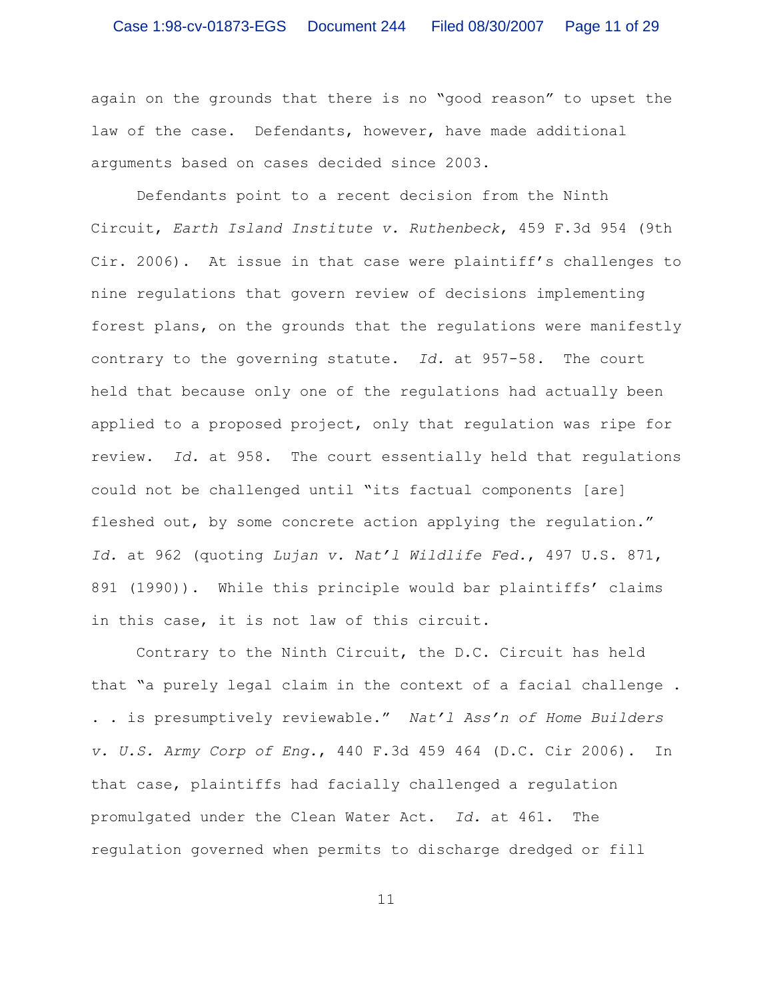again on the grounds that there is no "good reason" to upset the law of the case. Defendants, however, have made additional arguments based on cases decided since 2003.

Defendants point to a recent decision from the Ninth Circuit, *Earth Island Institute v. Ruthenbeck*, 459 F.3d 954 (9th Cir. 2006). At issue in that case were plaintiff's challenges to nine regulations that govern review of decisions implementing forest plans, on the grounds that the regulations were manifestly contrary to the governing statute. *Id.* at 957-58. The court held that because only one of the regulations had actually been applied to a proposed project, only that regulation was ripe for review. *Id.* at 958. The court essentially held that regulations could not be challenged until "its factual components [are] fleshed out, by some concrete action applying the regulation." *Id.* at 962 (quoting *Lujan v. Nat'l Wildlife Fed.*, 497 U.S. 871, 891 (1990)). While this principle would bar plaintiffs' claims in this case, it is not law of this circuit.

Contrary to the Ninth Circuit, the D.C. Circuit has held that "a purely legal claim in the context of a facial challenge . . . is presumptively reviewable." *Nat'l Ass'n of Home Builders v. U.S. Army Corp of Eng.*, 440 F.3d 459 464 (D.C. Cir 2006). In that case, plaintiffs had facially challenged a regulation promulgated under the Clean Water Act. *Id.* at 461. The regulation governed when permits to discharge dredged or fill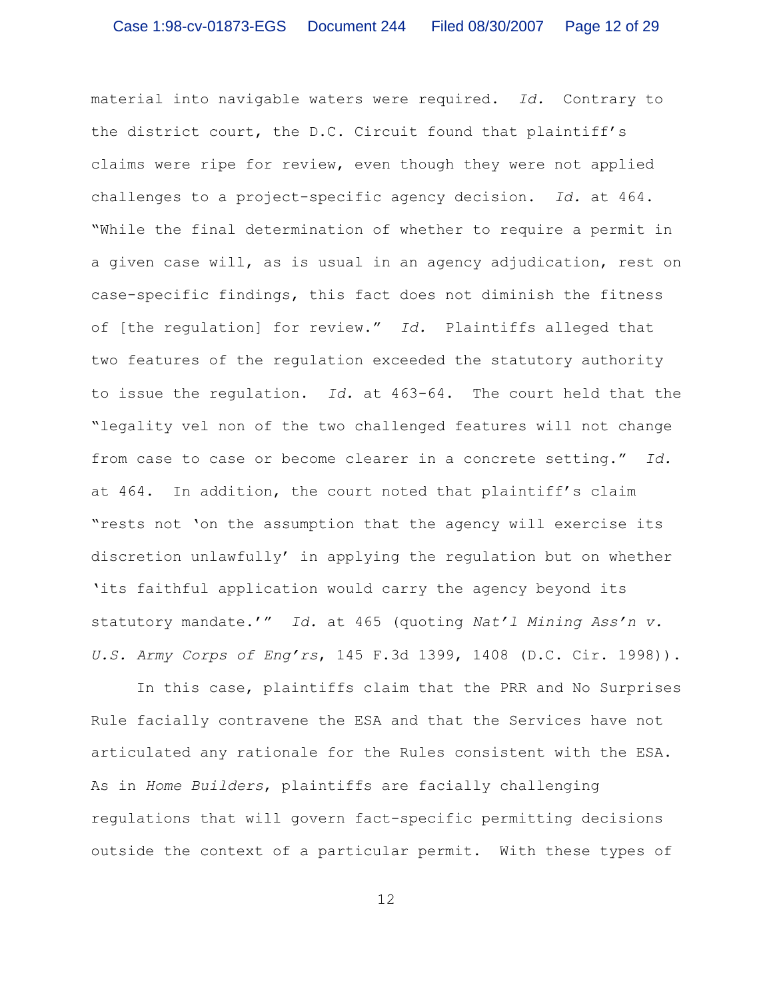material into navigable waters were required. *Id.* Contrary to the district court, the D.C. Circuit found that plaintiff's claims were ripe for review, even though they were not applied challenges to a project-specific agency decision. *Id.* at 464. "While the final determination of whether to require a permit in a given case will, as is usual in an agency adjudication, rest on case-specific findings, this fact does not diminish the fitness of [the regulation] for review." *Id.* Plaintiffs alleged that two features of the regulation exceeded the statutory authority to issue the regulation. *Id.* at 463-64. The court held that the "legality vel non of the two challenged features will not change from case to case or become clearer in a concrete setting." *Id.* at 464. In addition, the court noted that plaintiff's claim "rests not 'on the assumption that the agency will exercise its discretion unlawfully' in applying the regulation but on whether 'its faithful application would carry the agency beyond its statutory mandate.'" *Id.* at 465 (quoting *Nat'l Mining Ass'n v. U.S. Army Corps of Eng'rs*, 145 F.3d 1399, 1408 (D.C. Cir. 1998)).

In this case, plaintiffs claim that the PRR and No Surprises Rule facially contravene the ESA and that the Services have not articulated any rationale for the Rules consistent with the ESA. As in *Home Builders*, plaintiffs are facially challenging regulations that will govern fact-specific permitting decisions outside the context of a particular permit. With these types of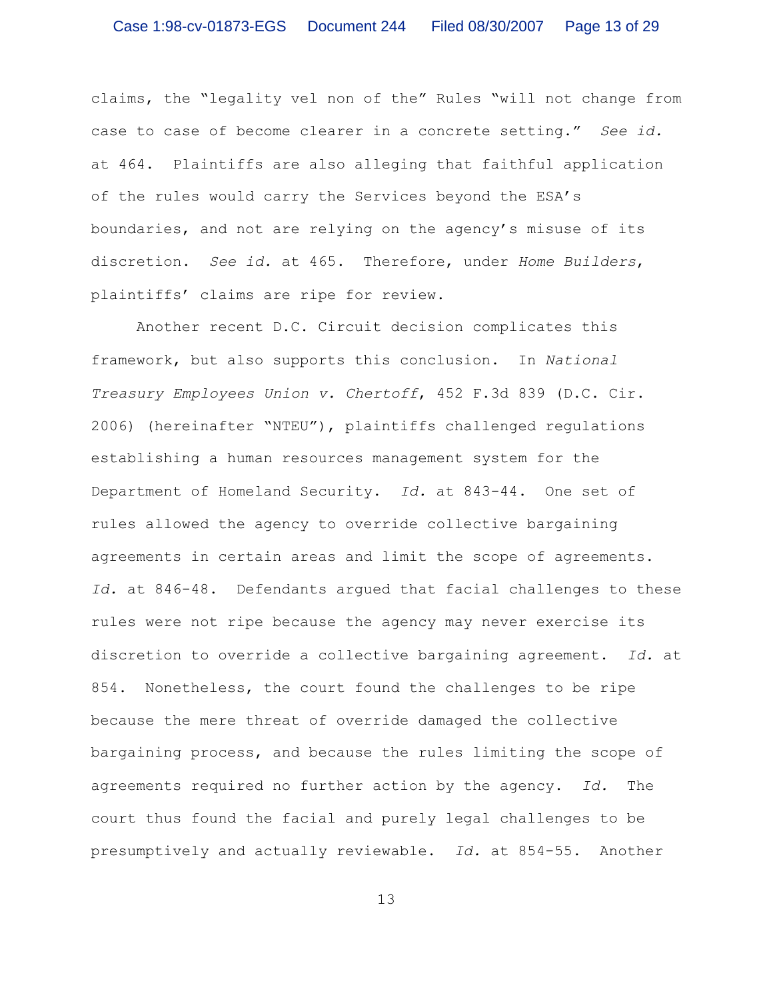claims, the "legality vel non of the" Rules "will not change from case to case of become clearer in a concrete setting." *See id.* at 464. Plaintiffs are also alleging that faithful application of the rules would carry the Services beyond the ESA's boundaries, and not are relying on the agency's misuse of its discretion. *See id.* at 465. Therefore, under *Home Builders*, plaintiffs' claims are ripe for review.

Another recent D.C. Circuit decision complicates this framework, but also supports this conclusion. In *National Treasury Employees Union v. Chertoff*, 452 F.3d 839 (D.C. Cir. 2006) (hereinafter "NTEU"), plaintiffs challenged regulations establishing a human resources management system for the Department of Homeland Security. *Id.* at 843-44. One set of rules allowed the agency to override collective bargaining agreements in certain areas and limit the scope of agreements. *Id.* at 846-48. Defendants argued that facial challenges to these rules were not ripe because the agency may never exercise its discretion to override a collective bargaining agreement. *Id.* at 854. Nonetheless, the court found the challenges to be ripe because the mere threat of override damaged the collective bargaining process, and because the rules limiting the scope of agreements required no further action by the agency. *Id.* The court thus found the facial and purely legal challenges to be presumptively and actually reviewable. *Id.* at 854-55. Another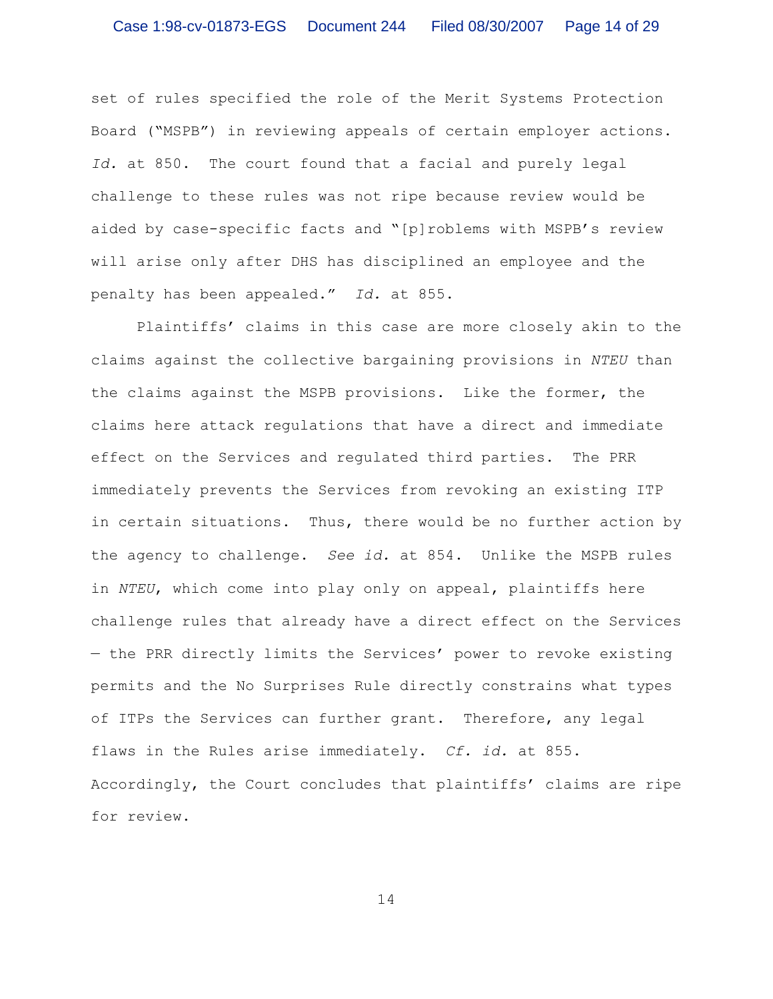set of rules specified the role of the Merit Systems Protection Board ("MSPB") in reviewing appeals of certain employer actions. *Id.* at 850. The court found that a facial and purely legal challenge to these rules was not ripe because review would be aided by case-specific facts and "[p]roblems with MSPB's review will arise only after DHS has disciplined an employee and the penalty has been appealed." *Id.* at 855.

Plaintiffs' claims in this case are more closely akin to the claims against the collective bargaining provisions in *NTEU* than the claims against the MSPB provisions. Like the former, the claims here attack regulations that have a direct and immediate effect on the Services and regulated third parties. The PRR immediately prevents the Services from revoking an existing ITP in certain situations. Thus, there would be no further action by the agency to challenge. *See id.* at 854. Unlike the MSPB rules in *NTEU*, which come into play only on appeal, plaintiffs here challenge rules that already have a direct effect on the Services — the PRR directly limits the Services' power to revoke existing permits and the No Surprises Rule directly constrains what types of ITPs the Services can further grant. Therefore, any legal flaws in the Rules arise immediately. *Cf. id.* at 855. Accordingly, the Court concludes that plaintiffs' claims are ripe for review.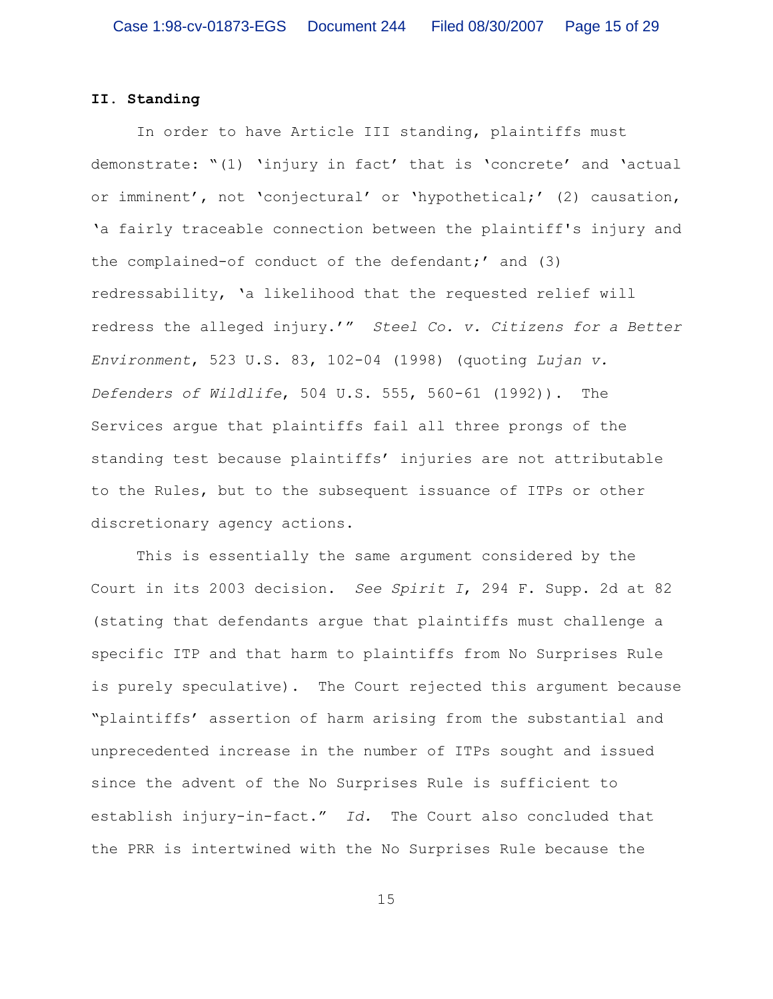# **II. Standing**

In order to have Article III standing, plaintiffs must demonstrate: "(1) 'injury in fact' that is 'concrete' and 'actual or imminent', not 'conjectural' or 'hypothetical;' (2) causation, 'a fairly traceable connection between the plaintiff's injury and the complained-of conduct of the defendant;' and (3) redressability, 'a likelihood that the requested relief will redress the alleged injury.'" *Steel Co. v. Citizens for a Better Environment*, 523 U.S. 83, 102-04 (1998) (quoting *Lujan v. Defenders of Wildlife*, 504 U.S. 555, 560-61 (1992)). The Services argue that plaintiffs fail all three prongs of the standing test because plaintiffs' injuries are not attributable to the Rules, but to the subsequent issuance of ITPs or other discretionary agency actions.

This is essentially the same argument considered by the Court in its 2003 decision. *See Spirit I*, 294 F. Supp. 2d at 82 (stating that defendants argue that plaintiffs must challenge a specific ITP and that harm to plaintiffs from No Surprises Rule is purely speculative). The Court rejected this argument because "plaintiffs' assertion of harm arising from the substantial and unprecedented increase in the number of ITPs sought and issued since the advent of the No Surprises Rule is sufficient to establish injury-in-fact." *Id.* The Court also concluded that the PRR is intertwined with the No Surprises Rule because the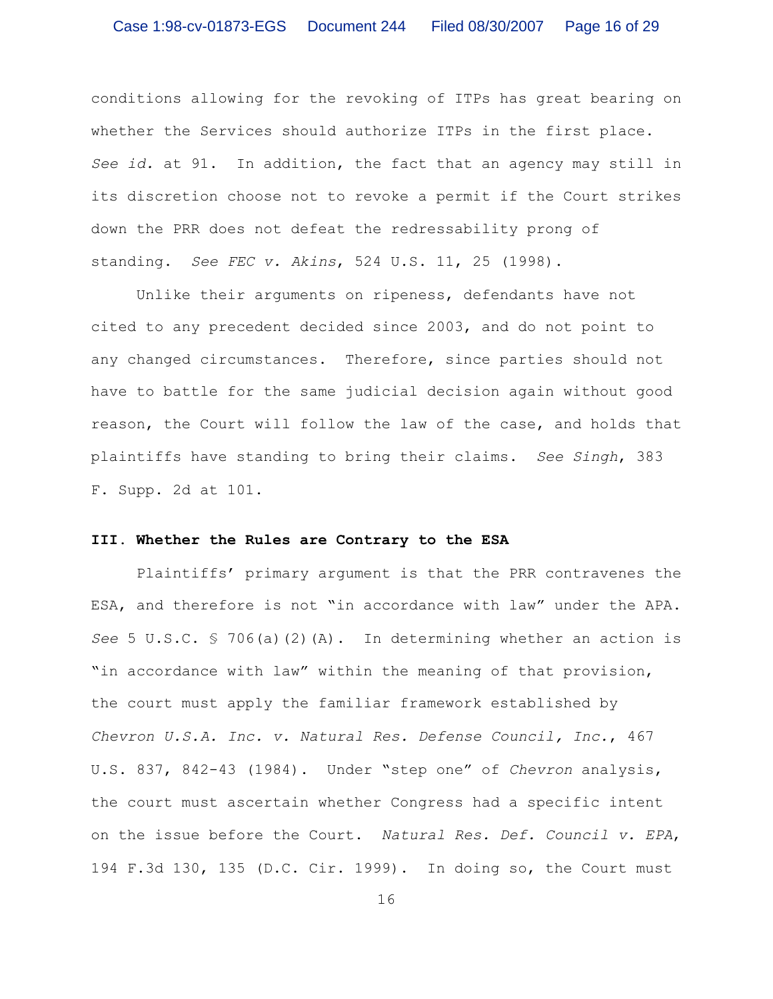conditions allowing for the revoking of ITPs has great bearing on whether the Services should authorize ITPs in the first place. *See id.* at 91. In addition, the fact that an agency may still in its discretion choose not to revoke a permit if the Court strikes down the PRR does not defeat the redressability prong of standing. *See FEC v. Akins*, 524 U.S. 11, 25 (1998).

Unlike their arguments on ripeness, defendants have not cited to any precedent decided since 2003, and do not point to any changed circumstances. Therefore, since parties should not have to battle for the same judicial decision again without good reason, the Court will follow the law of the case, and holds that plaintiffs have standing to bring their claims. *See Singh*, 383 F. Supp. 2d at 101.

### **III. Whether the Rules are Contrary to the ESA**

Plaintiffs' primary argument is that the PRR contravenes the ESA, and therefore is not "in accordance with law" under the APA. *See* 5 U.S.C. § 706(a)(2)(A). In determining whether an action is "in accordance with law" within the meaning of that provision, the court must apply the familiar framework established by *Chevron U.S.A. Inc. v. Natural Res. Defense Council, Inc.*, 467 U.S. 837, 842-43 (1984). Under "step one" of *Chevron* analysis, the court must ascertain whether Congress had a specific intent on the issue before the Court. *Natural Res. Def. Council v. EPA*, 194 F.3d 130, 135 (D.C. Cir. 1999). In doing so, the Court must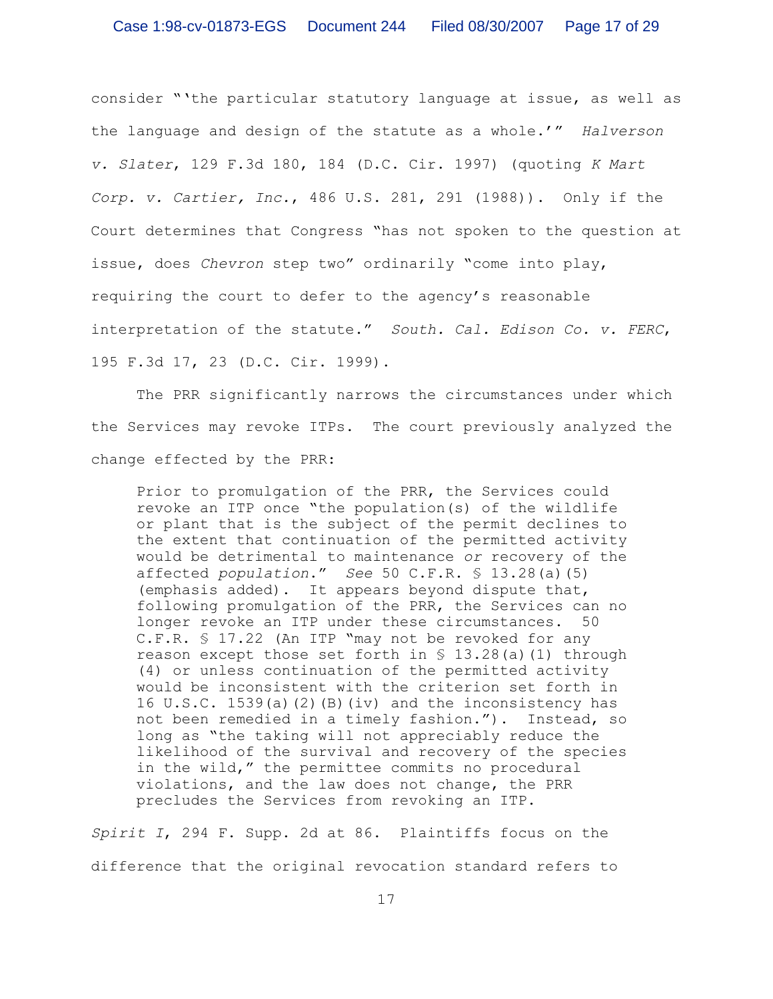consider "'the particular statutory language at issue, as well as the language and design of the statute as a whole.'" *Halverson v. Slater*, 129 F.3d 180, 184 (D.C. Cir. 1997) (quoting *K Mart Corp. v. Cartier, Inc.*, 486 U.S. 281, 291 (1988)). Only if the Court determines that Congress "has not spoken to the question at issue, does *Chevron* step two" ordinarily "come into play, requiring the court to defer to the agency's reasonable interpretation of the statute." *South. Cal. Edison Co. v. FERC*, 195 F.3d 17, 23 (D.C. Cir. 1999).

The PRR significantly narrows the circumstances under which the Services may revoke ITPs. The court previously analyzed the change effected by the PRR:

Prior to promulgation of the PRR, the Services could revoke an ITP once "the population(s) of the wildlife or plant that is the subject of the permit declines to the extent that continuation of the permitted activity would be detrimental to maintenance *or* recovery of the affected *population*." *See* 50 C.F.R. § 13.28(a)(5) (emphasis added). It appears beyond dispute that, following promulgation of the PRR, the Services can no longer revoke an ITP under these circumstances. 50 C.F.R. § 17.22 (An ITP "may not be revoked for any reason except those set forth in  $\S$  13.28(a)(1) through (4) or unless continuation of the permitted activity would be inconsistent with the criterion set forth in 16 U.S.C. 1539(a)(2)(B)(iv) and the inconsistency has not been remedied in a timely fashion."). Instead, so long as "the taking will not appreciably reduce the likelihood of the survival and recovery of the species in the wild," the permittee commits no procedural violations, and the law does not change, the PRR precludes the Services from revoking an ITP.

*Spirit I*, 294 F. Supp. 2d at 86. Plaintiffs focus on the difference that the original revocation standard refers to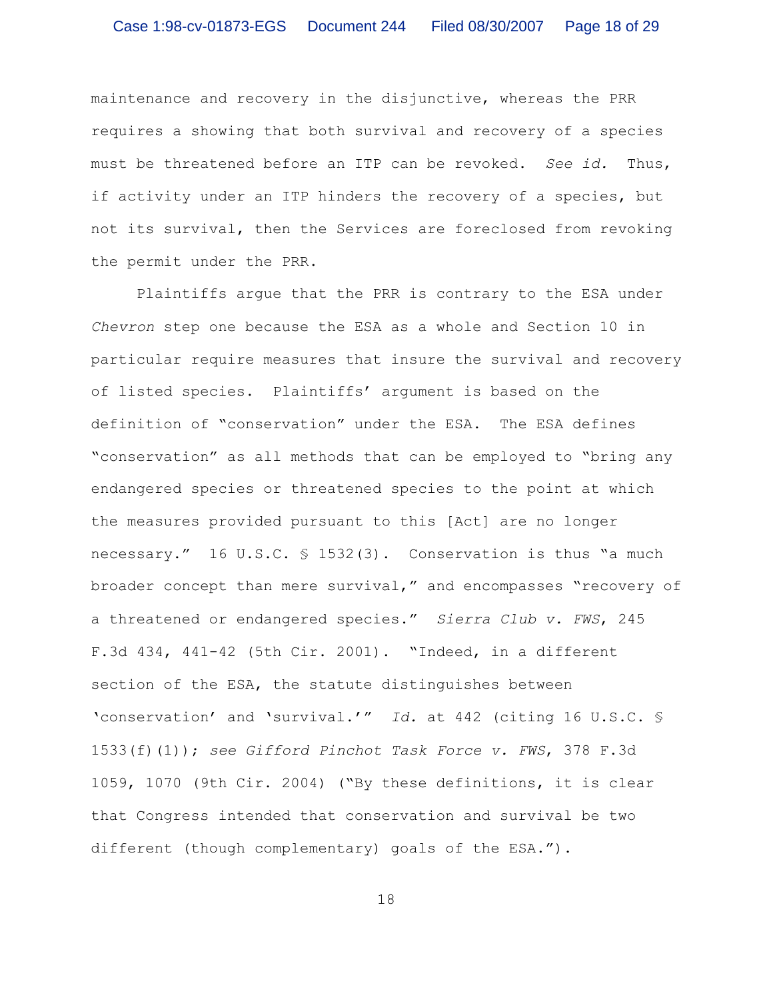maintenance and recovery in the disjunctive, whereas the PRR requires a showing that both survival and recovery of a species must be threatened before an ITP can be revoked. *See id.* Thus, if activity under an ITP hinders the recovery of a species, but not its survival, then the Services are foreclosed from revoking the permit under the PRR.

Plaintiffs argue that the PRR is contrary to the ESA under *Chevron* step one because the ESA as a whole and Section 10 in particular require measures that insure the survival and recovery of listed species. Plaintiffs' argument is based on the definition of "conservation" under the ESA. The ESA defines "conservation" as all methods that can be employed to "bring any endangered species or threatened species to the point at which the measures provided pursuant to this [Act] are no longer necessary." 16 U.S.C. § 1532(3). Conservation is thus "a much broader concept than mere survival," and encompasses "recovery of a threatened or endangered species." *Sierra Club v. FWS*, 245 F.3d 434, 441-42 (5th Cir. 2001). "Indeed, in a different section of the ESA, the statute distinguishes between 'conservation' and 'survival.'" *Id.* at 442 (citing 16 U.S.C. § 1533(f)(1)); *see Gifford Pinchot Task Force v. FWS*, 378 F.3d 1059, 1070 (9th Cir. 2004) ("By these definitions, it is clear that Congress intended that conservation and survival be two different (though complementary) goals of the ESA.").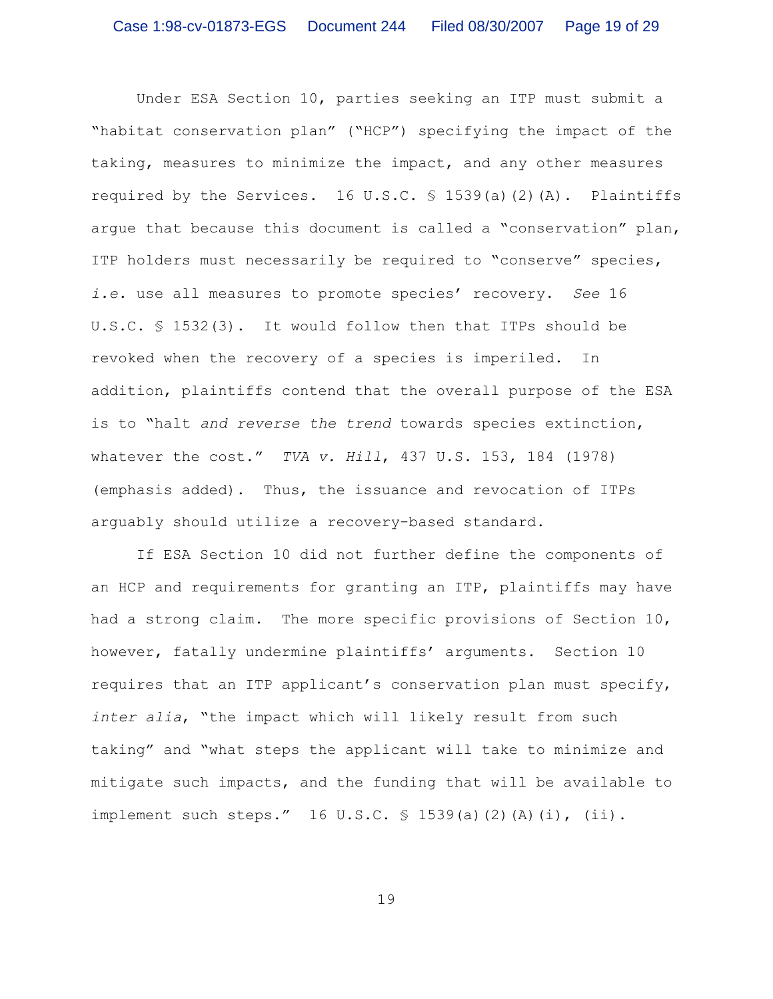Under ESA Section 10, parties seeking an ITP must submit a "habitat conservation plan" ("HCP") specifying the impact of the taking, measures to minimize the impact, and any other measures required by the Services. 16 U.S.C. § 1539(a)(2)(A). Plaintiffs argue that because this document is called a "conservation" plan, ITP holders must necessarily be required to "conserve" species, *i.e.* use all measures to promote species' recovery. *See* 16 U.S.C. § 1532(3). It would follow then that ITPs should be revoked when the recovery of a species is imperiled. In addition, plaintiffs contend that the overall purpose of the ESA is to "halt *and reverse the trend* towards species extinction, whatever the cost." *TVA v. Hill*, 437 U.S. 153, 184 (1978) (emphasis added). Thus, the issuance and revocation of ITPs arguably should utilize a recovery-based standard.

If ESA Section 10 did not further define the components of an HCP and requirements for granting an ITP, plaintiffs may have had a strong claim. The more specific provisions of Section 10, however, fatally undermine plaintiffs' arguments. Section 10 requires that an ITP applicant's conservation plan must specify, *inter alia*, "the impact which will likely result from such taking" and "what steps the applicant will take to minimize and mitigate such impacts, and the funding that will be available to implement such steps." 16 U.S.C. § 1539(a)(2)(A)(i), (ii).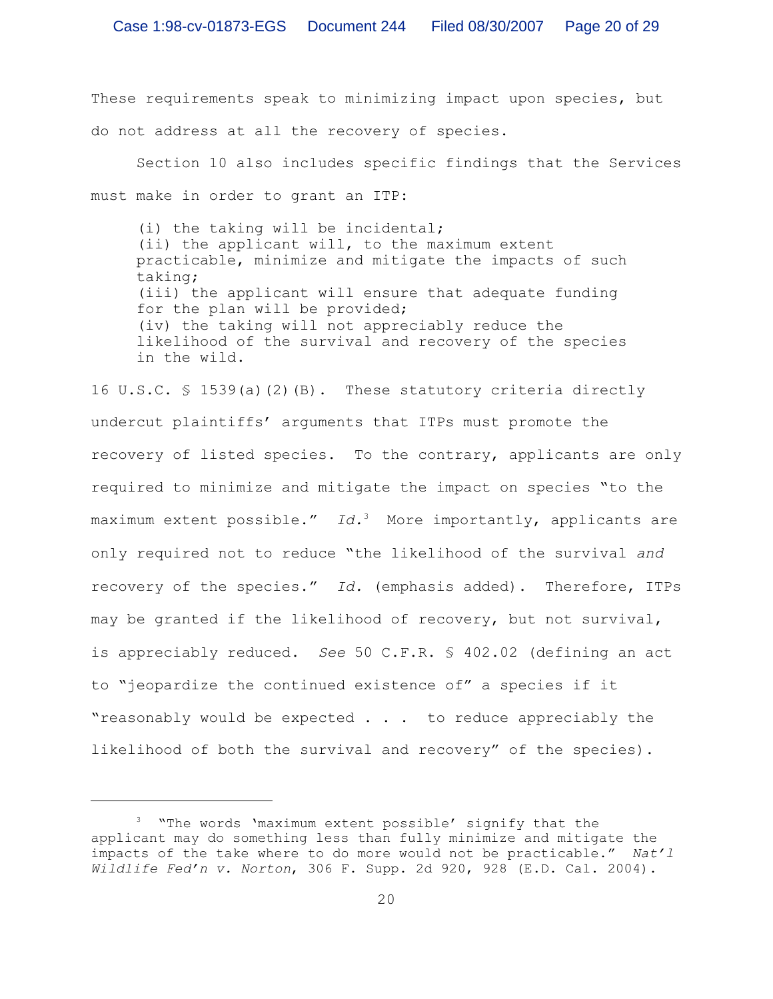These requirements speak to minimizing impact upon species, but do not address at all the recovery of species.

Section 10 also includes specific findings that the Services must make in order to grant an ITP:

(i) the taking will be incidental; (ii) the applicant will, to the maximum extent practicable, minimize and mitigate the impacts of such taking; (iii) the applicant will ensure that adequate funding for the plan will be provided; (iv) the taking will not appreciably reduce the likelihood of the survival and recovery of the species in the wild.

16 U.S.C. § 1539(a)(2)(B). These statutory criteria directly undercut plaintiffs' arguments that ITPs must promote the recovery of listed species. To the contrary, applicants are only required to minimize and mitigate the impact on species "to the maximum extent possible." *Id.*<sup>3</sup> More importantly, applicants are only required not to reduce "the likelihood of the survival *and* recovery of the species." *Id.* (emphasis added). Therefore, ITPs may be granted if the likelihood of recovery, but not survival, is appreciably reduced. *See* 50 C.F.R. § 402.02 (defining an act to "jeopardize the continued existence of" a species if it "reasonably would be expected . . . to reduce appreciably the likelihood of both the survival and recovery" of the species).

<sup>&</sup>lt;sup>3</sup> "The words 'maximum extent possible' signify that the applicant may do something less than fully minimize and mitigate the impacts of the take where to do more would not be practicable." *Nat'l Wildlife Fed'n v. Norton*, 306 F. Supp. 2d 920, 928 (E.D. Cal. 2004).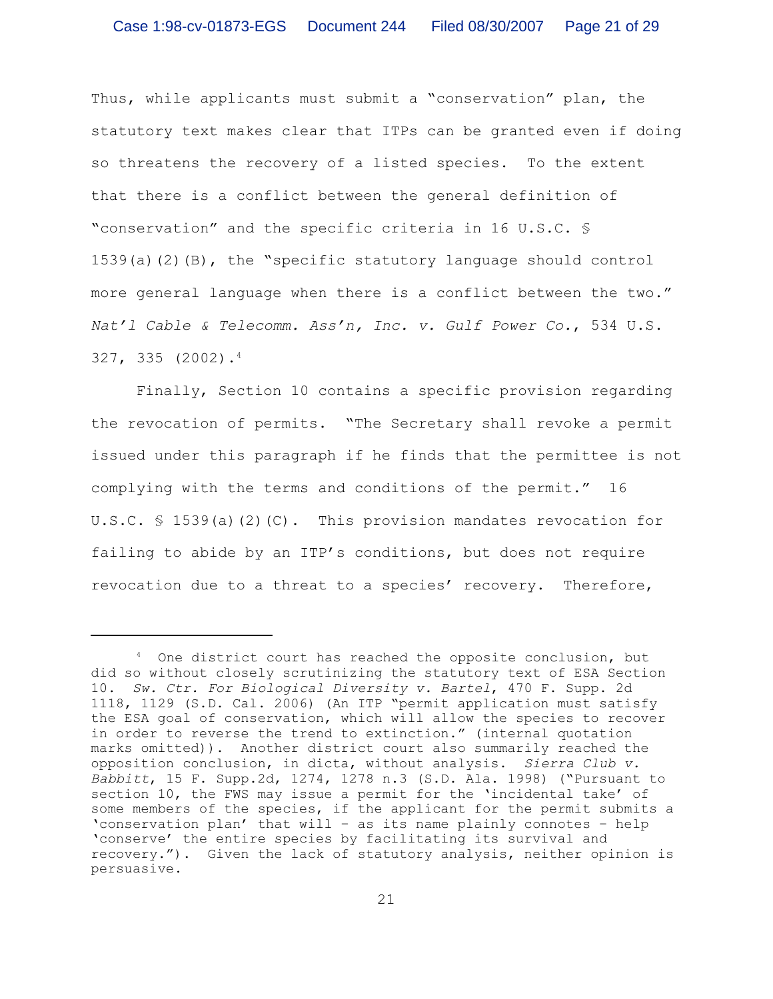Thus, while applicants must submit a "conservation" plan, the statutory text makes clear that ITPs can be granted even if doing so threatens the recovery of a listed species. To the extent that there is a conflict between the general definition of "conservation" and the specific criteria in 16 U.S.C. § 1539(a)(2)(B), the "specific statutory language should control more general language when there is a conflict between the two." *Nat'l Cable & Telecomm. Ass'n, Inc. v. Gulf Power Co.*, 534 U.S. 327, 335 (2002).<sup>4</sup>

Finally, Section 10 contains a specific provision regarding the revocation of permits. "The Secretary shall revoke a permit issued under this paragraph if he finds that the permittee is not complying with the terms and conditions of the permit." 16 U.S.C. § 1539(a)(2)(C). This provision mandates revocation for failing to abide by an ITP's conditions, but does not require revocation due to a threat to a species' recovery. Therefore,

<sup>&</sup>lt;sup>4</sup> One district court has reached the opposite conclusion, but did so without closely scrutinizing the statutory text of ESA Section 10. *Sw. Ctr. For Biological Diversity v. Bartel*, 470 F. Supp. 2d 1118, 1129 (S.D. Cal. 2006) (An ITP "permit application must satisfy the ESA goal of conservation, which will allow the species to recover in order to reverse the trend to extinction." (internal quotation marks omitted)). Another district court also summarily reached the opposition conclusion, in dicta, without analysis. *Sierra Club v. Babbitt*, 15 F. Supp.2d, 1274, 1278 n.3 (S.D. Ala. 1998) ("Pursuant to section 10, the FWS may issue a permit for the 'incidental take' of some members of the species, if the applicant for the permit submits a 'conservation plan' that will – as its name plainly connotes – help 'conserve' the entire species by facilitating its survival and recovery."). Given the lack of statutory analysis, neither opinion is persuasive.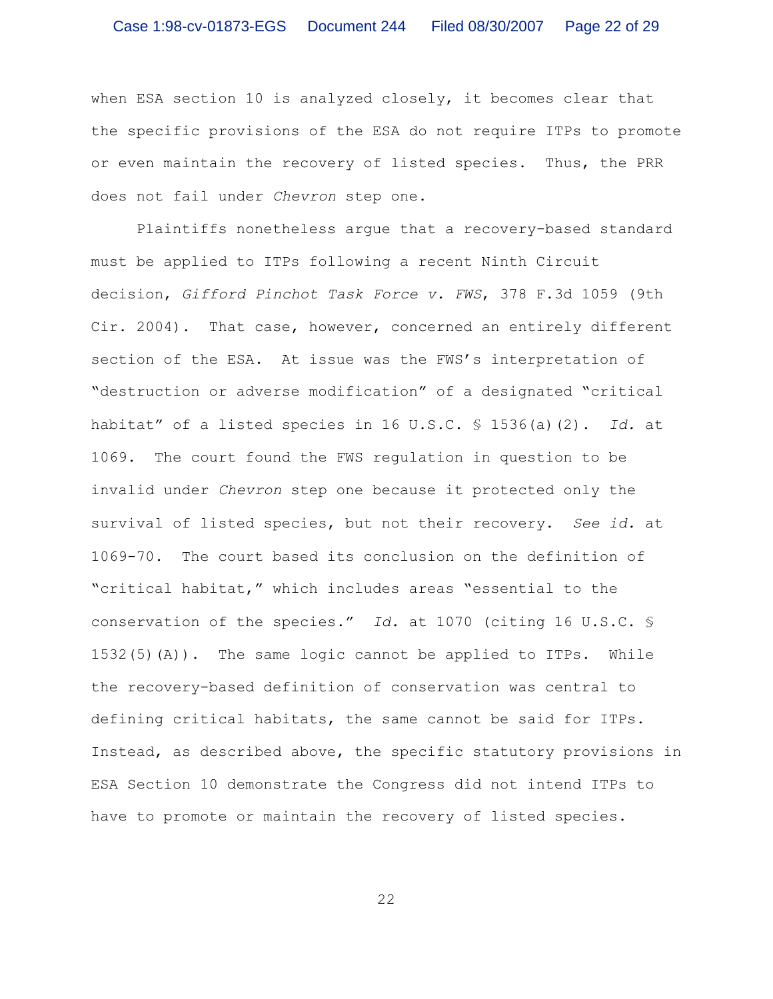when ESA section 10 is analyzed closely, it becomes clear that the specific provisions of the ESA do not require ITPs to promote or even maintain the recovery of listed species. Thus, the PRR does not fail under *Chevron* step one.

Plaintiffs nonetheless argue that a recovery-based standard must be applied to ITPs following a recent Ninth Circuit decision, *Gifford Pinchot Task Force v. FWS*, 378 F.3d 1059 (9th Cir. 2004). That case, however, concerned an entirely different section of the ESA. At issue was the FWS's interpretation of "destruction or adverse modification" of a designated "critical habitat" of a listed species in 16 U.S.C. § 1536(a)(2). *Id.* at 1069. The court found the FWS regulation in question to be invalid under *Chevron* step one because it protected only the survival of listed species, but not their recovery. *See id.* at 1069-70. The court based its conclusion on the definition of "critical habitat," which includes areas "essential to the conservation of the species." *Id.* at 1070 (citing 16 U.S.C. § 1532(5)(A)). The same logic cannot be applied to ITPs. While the recovery-based definition of conservation was central to defining critical habitats, the same cannot be said for ITPs. Instead, as described above, the specific statutory provisions in ESA Section 10 demonstrate the Congress did not intend ITPs to have to promote or maintain the recovery of listed species.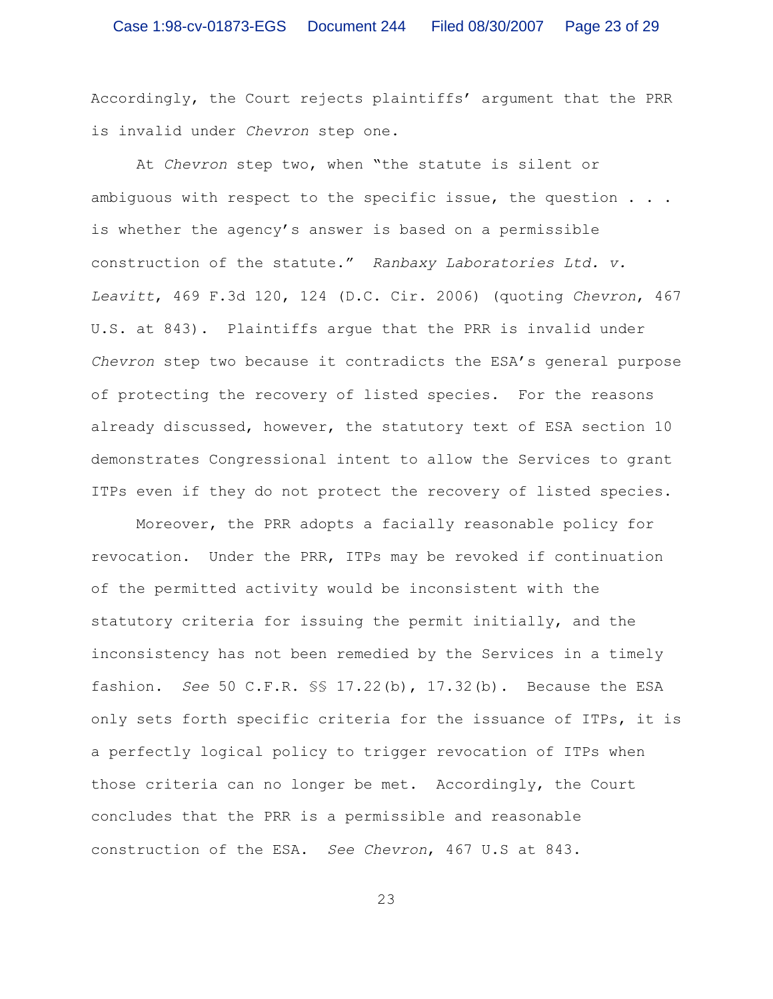Accordingly, the Court rejects plaintiffs' argument that the PRR is invalid under *Chevron* step one.

At *Chevron* step two, when "the statute is silent or ambiguous with respect to the specific issue, the question . . . is whether the agency's answer is based on a permissible construction of the statute." *Ranbaxy Laboratories Ltd. v. Leavitt*, 469 F.3d 120, 124 (D.C. Cir. 2006) (quoting *Chevron*, 467 U.S. at 843). Plaintiffs argue that the PRR is invalid under *Chevron* step two because it contradicts the ESA's general purpose of protecting the recovery of listed species. For the reasons already discussed, however, the statutory text of ESA section 10 demonstrates Congressional intent to allow the Services to grant ITPs even if they do not protect the recovery of listed species.

Moreover, the PRR adopts a facially reasonable policy for revocation. Under the PRR, ITPs may be revoked if continuation of the permitted activity would be inconsistent with the statutory criteria for issuing the permit initially, and the inconsistency has not been remedied by the Services in a timely fashion. *See* 50 C.F.R. §§ 17.22(b), 17.32(b). Because the ESA only sets forth specific criteria for the issuance of ITPs, it is a perfectly logical policy to trigger revocation of ITPs when those criteria can no longer be met. Accordingly, the Court concludes that the PRR is a permissible and reasonable construction of the ESA. *See Chevron*, 467 U.S at 843.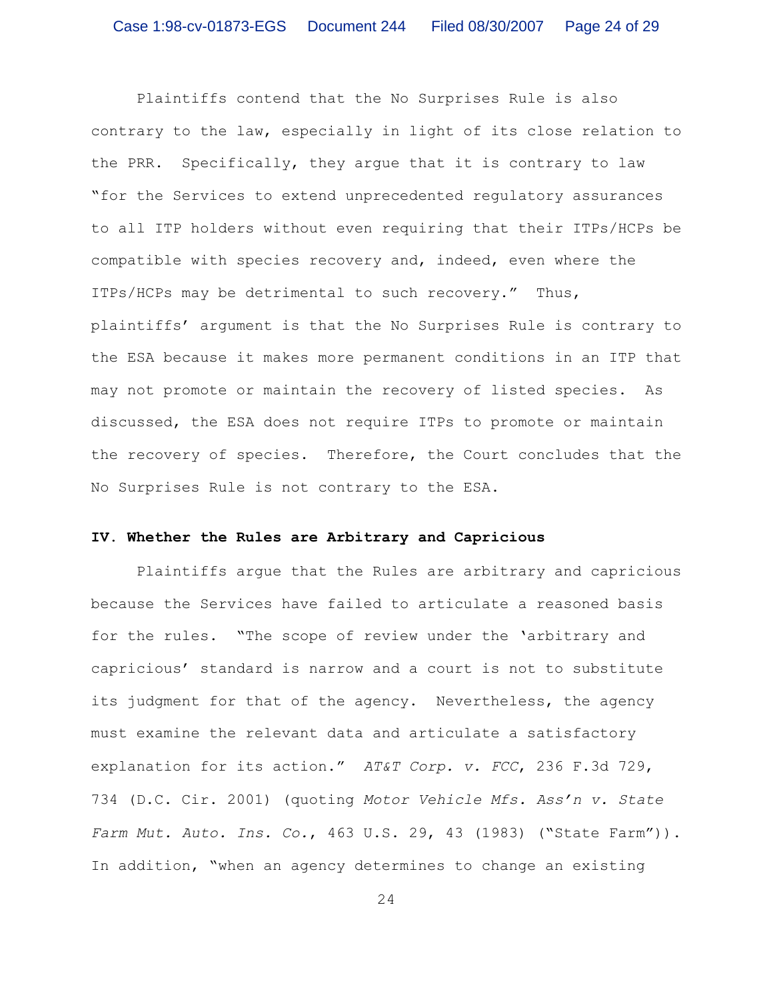Plaintiffs contend that the No Surprises Rule is also contrary to the law, especially in light of its close relation to the PRR. Specifically, they argue that it is contrary to law "for the Services to extend unprecedented regulatory assurances to all ITP holders without even requiring that their ITPs/HCPs be compatible with species recovery and, indeed, even where the ITPs/HCPs may be detrimental to such recovery." Thus, plaintiffs' argument is that the No Surprises Rule is contrary to the ESA because it makes more permanent conditions in an ITP that may not promote or maintain the recovery of listed species. As discussed, the ESA does not require ITPs to promote or maintain the recovery of species. Therefore, the Court concludes that the No Surprises Rule is not contrary to the ESA.

# **IV. Whether the Rules are Arbitrary and Capricious**

Plaintiffs argue that the Rules are arbitrary and capricious because the Services have failed to articulate a reasoned basis for the rules. "The scope of review under the 'arbitrary and capricious' standard is narrow and a court is not to substitute its judgment for that of the agency. Nevertheless, the agency must examine the relevant data and articulate a satisfactory explanation for its action." *AT&T Corp. v. FCC*, 236 F.3d 729, 734 (D.C. Cir. 2001) (quoting *Motor Vehicle Mfs. Ass'n v. State Farm Mut. Auto. Ins. Co.*, 463 U.S. 29, 43 (1983) ("State Farm")). In addition, "when an agency determines to change an existing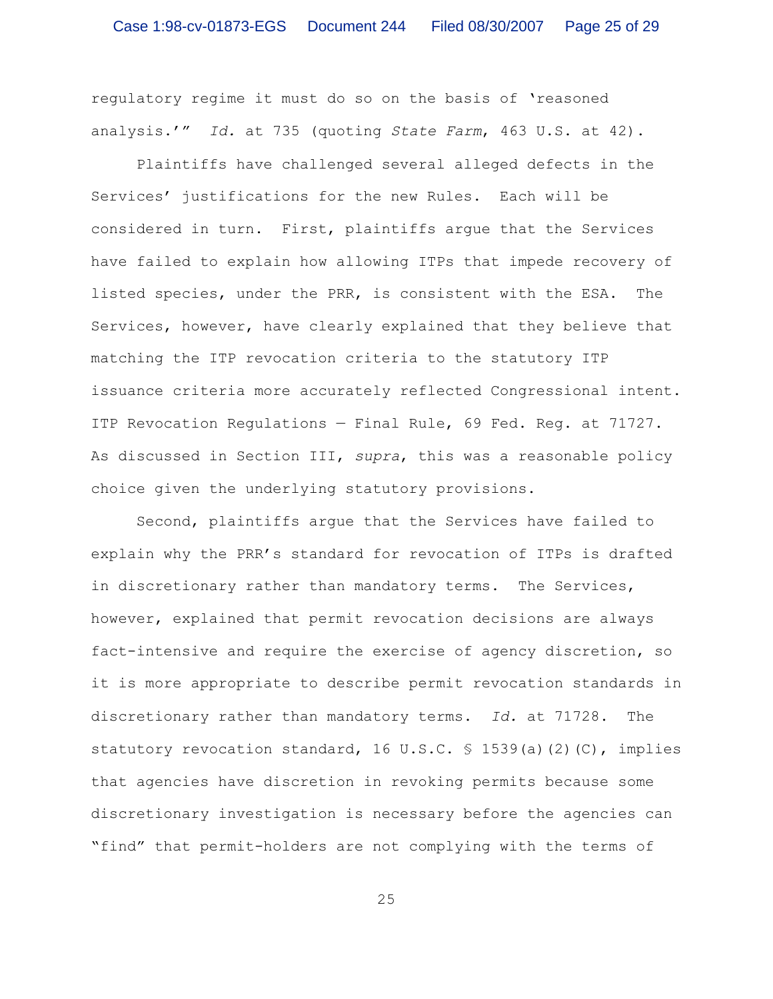regulatory regime it must do so on the basis of 'reasoned analysis.'" *Id.* at 735 (quoting *State Farm*, 463 U.S. at 42).

Plaintiffs have challenged several alleged defects in the Services' justifications for the new Rules. Each will be considered in turn. First, plaintiffs argue that the Services have failed to explain how allowing ITPs that impede recovery of listed species, under the PRR, is consistent with the ESA. The Services, however, have clearly explained that they believe that matching the ITP revocation criteria to the statutory ITP issuance criteria more accurately reflected Congressional intent. ITP Revocation Regulations — Final Rule, 69 Fed. Reg. at 71727. As discussed in Section III, *supra*, this was a reasonable policy choice given the underlying statutory provisions.

Second, plaintiffs argue that the Services have failed to explain why the PRR's standard for revocation of ITPs is drafted in discretionary rather than mandatory terms. The Services, however, explained that permit revocation decisions are always fact-intensive and require the exercise of agency discretion, so it is more appropriate to describe permit revocation standards in discretionary rather than mandatory terms. *Id.* at 71728. The statutory revocation standard, 16 U.S.C. § 1539(a)(2)(C), implies that agencies have discretion in revoking permits because some discretionary investigation is necessary before the agencies can "find" that permit-holders are not complying with the terms of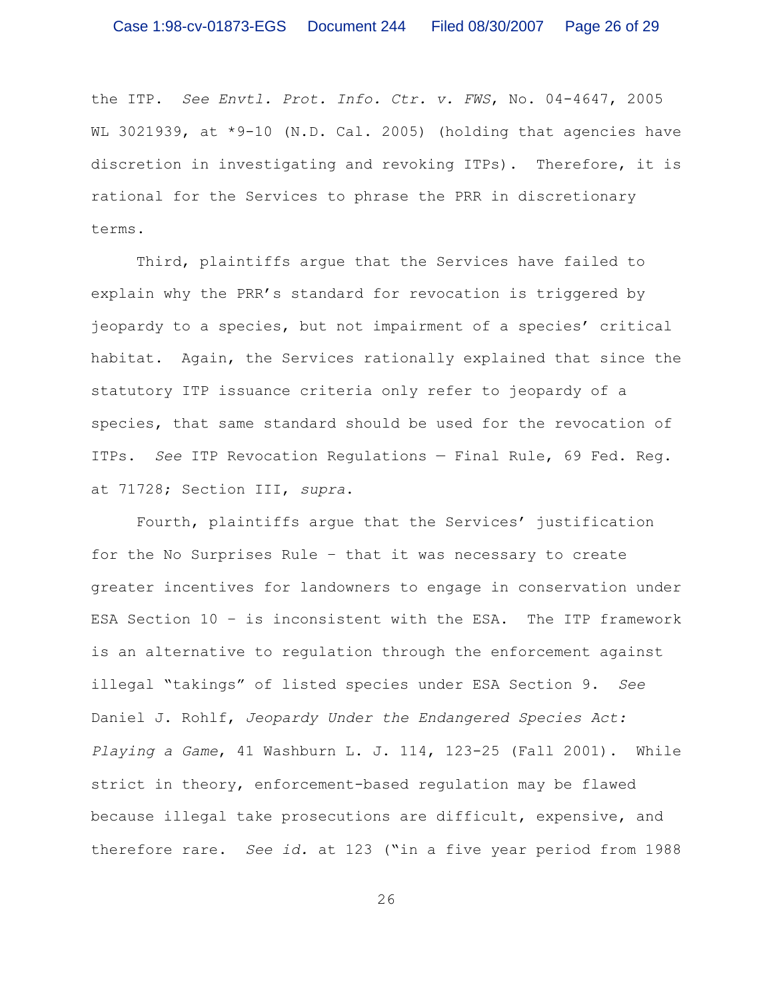the ITP. *See Envtl. Prot. Info. Ctr. v. FWS*, No. 04-4647, 2005 WL 3021939, at \*9-10 (N.D. Cal. 2005) (holding that agencies have discretion in investigating and revoking ITPs). Therefore, it is rational for the Services to phrase the PRR in discretionary terms.

Third, plaintiffs argue that the Services have failed to explain why the PRR's standard for revocation is triggered by jeopardy to a species, but not impairment of a species' critical habitat. Again, the Services rationally explained that since the statutory ITP issuance criteria only refer to jeopardy of a species, that same standard should be used for the revocation of ITPs. *See* ITP Revocation Regulations — Final Rule, 69 Fed. Reg. at 71728; Section III, *supra*.

Fourth, plaintiffs argue that the Services' justification for the No Surprises Rule – that it was necessary to create greater incentives for landowners to engage in conservation under ESA Section 10 – is inconsistent with the ESA. The ITP framework is an alternative to regulation through the enforcement against illegal "takings" of listed species under ESA Section 9. *See* Daniel J. Rohlf, *Jeopardy Under the Endangered Species Act: Playing a Game*, 41 Washburn L. J. 114, 123-25 (Fall 2001). While strict in theory, enforcement-based regulation may be flawed because illegal take prosecutions are difficult, expensive, and therefore rare. *See id.* at 123 ("in a five year period from 1988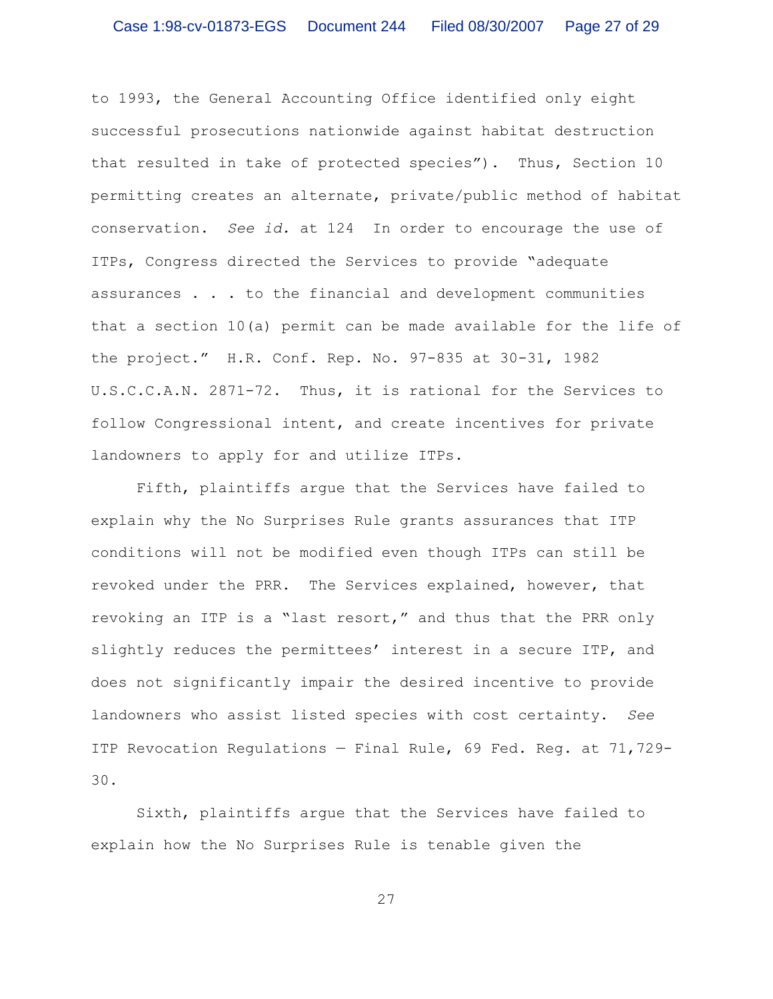to 1993, the General Accounting Office identified only eight successful prosecutions nationwide against habitat destruction that resulted in take of protected species"). Thus, Section 10 permitting creates an alternate, private/public method of habitat conservation. *See id.* at 124 In order to encourage the use of ITPs, Congress directed the Services to provide "adequate assurances . . . to the financial and development communities that a section 10(a) permit can be made available for the life of the project." H.R. Conf. Rep. No. 97-835 at 30-31, 1982 U.S.C.C.A.N. 2871-72. Thus, it is rational for the Services to follow Congressional intent, and create incentives for private landowners to apply for and utilize ITPs.

Fifth, plaintiffs argue that the Services have failed to explain why the No Surprises Rule grants assurances that ITP conditions will not be modified even though ITPs can still be revoked under the PRR. The Services explained, however, that revoking an ITP is a "last resort," and thus that the PRR only slightly reduces the permittees' interest in a secure ITP, and does not significantly impair the desired incentive to provide landowners who assist listed species with cost certainty. *See* ITP Revocation Regulations — Final Rule, 69 Fed. Reg. at 71,729- 30.

Sixth, plaintiffs argue that the Services have failed to explain how the No Surprises Rule is tenable given the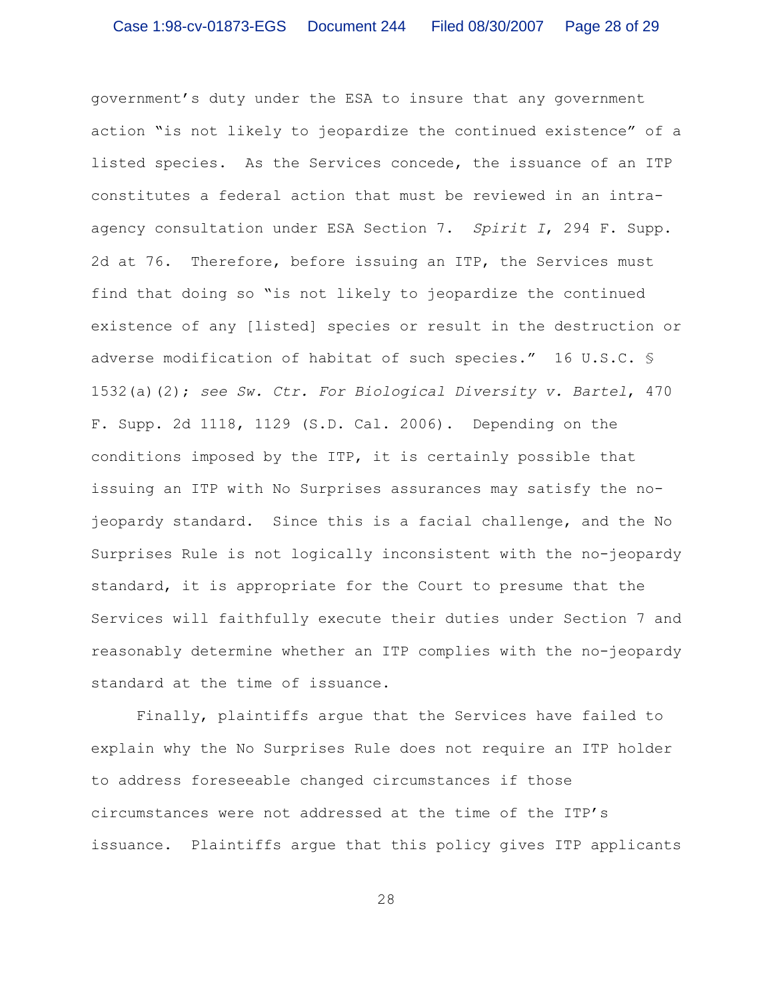government's duty under the ESA to insure that any government action "is not likely to jeopardize the continued existence" of a listed species. As the Services concede, the issuance of an ITP constitutes a federal action that must be reviewed in an intraagency consultation under ESA Section 7. *Spirit I*, 294 F. Supp. 2d at 76. Therefore, before issuing an ITP, the Services must find that doing so "is not likely to jeopardize the continued existence of any [listed] species or result in the destruction or adverse modification of habitat of such species." 16 U.S.C. § 1532(a)(2); *see Sw. Ctr. For Biological Diversity v. Bartel*, 470 F. Supp. 2d 1118, 1129 (S.D. Cal. 2006). Depending on the conditions imposed by the ITP, it is certainly possible that issuing an ITP with No Surprises assurances may satisfy the nojeopardy standard. Since this is a facial challenge, and the No Surprises Rule is not logically inconsistent with the no-jeopardy standard, it is appropriate for the Court to presume that the Services will faithfully execute their duties under Section 7 and reasonably determine whether an ITP complies with the no-jeopardy standard at the time of issuance.

Finally, plaintiffs argue that the Services have failed to explain why the No Surprises Rule does not require an ITP holder to address foreseeable changed circumstances if those circumstances were not addressed at the time of the ITP's issuance. Plaintiffs argue that this policy gives ITP applicants